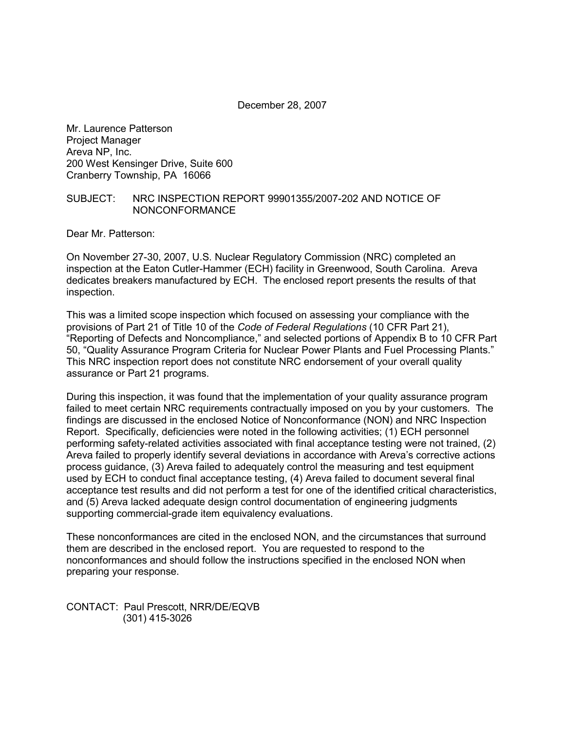December 28, 2007

Mr. Laurence Patterson Project Manager Areva NP, Inc. 200 West Kensinger Drive, Suite 600 Cranberry Township, PA 16066

# SUBJECT: NRC INSPECTION REPORT 99901355/2007-202 AND NOTICE OF NONCONFORMANCE

Dear Mr. Patterson:

On November 27-30, 2007, U.S. Nuclear Regulatory Commission (NRC) completed an inspection at the Eaton Cutler-Hammer (ECH) facility in Greenwood, South Carolina. Areva dedicates breakers manufactured by ECH. The enclosed report presents the results of that inspection.

This was a limited scope inspection which focused on assessing your compliance with the provisions of Part 21 of Title 10 of the *Code of Federal Regulations* (10 CFR Part 21), "Reporting of Defects and Noncompliance," and selected portions of Appendix B to 10 CFR Part 50, "Quality Assurance Program Criteria for Nuclear Power Plants and Fuel Processing Plants." This NRC inspection report does not constitute NRC endorsement of your overall quality assurance or Part 21 programs.

During this inspection, it was found that the implementation of your quality assurance program failed to meet certain NRC requirements contractually imposed on you by your customers. The findings are discussed in the enclosed Notice of Nonconformance (NON) and NRC Inspection Report. Specifically, deficiencies were noted in the following activities; (1) ECH personnel performing safety-related activities associated with final acceptance testing were not trained, (2) Areva failed to properly identify several deviations in accordance with Areva's corrective actions process guidance, (3) Areva failed to adequately control the measuring and test equipment used by ECH to conduct final acceptance testing, (4) Areva failed to document several final acceptance test results and did not perform a test for one of the identified critical characteristics, and (5) Areva lacked adequate design control documentation of engineering judgments supporting commercial-grade item equivalency evaluations.

These nonconformances are cited in the enclosed NON, and the circumstances that surround them are described in the enclosed report. You are requested to respond to the nonconformances and should follow the instructions specified in the enclosed NON when preparing your response.

CONTACT: Paul Prescott, NRR/DE/EQVB (301) 415-3026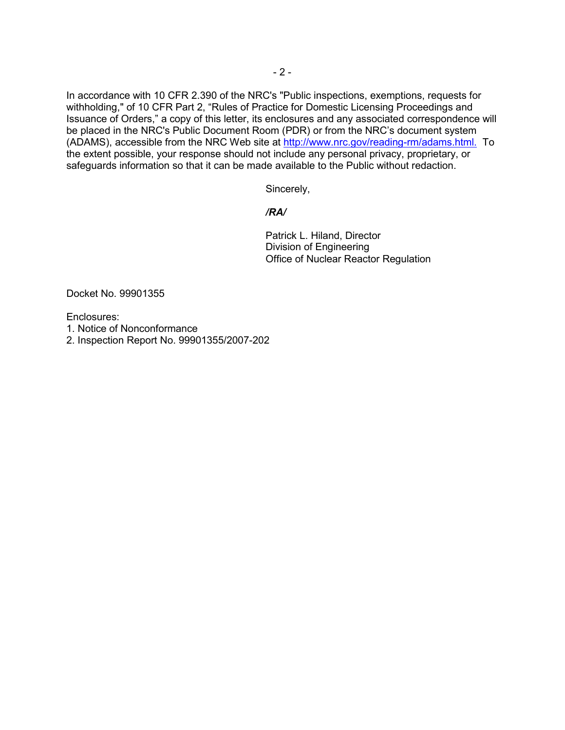In accordance with 10 CFR 2.390 of the NRC's "Public inspections, exemptions, requests for withholding," of 10 CFR Part 2, "Rules of Practice for Domestic Licensing Proceedings and Issuance of Orders," a copy of this letter, its enclosures and any associated correspondence will be placed in the NRC's Public Document Room (PDR) or from the NRC's document system (ADAMS), accessible from the NRC Web site at http://www.nrc.gov/reading-rm/adams.html. To the extent possible, your response should not include any personal privacy, proprietary, or safeguards information so that it can be made available to the Public without redaction.

Sincerely,

# */RA/*

Patrick L. Hiland, Director Division of Engineering Office of Nuclear Reactor Regulation

Docket No. 99901355

Enclosures:

- 1. Notice of Nonconformance
- 2. Inspection Report No. 99901355/2007-202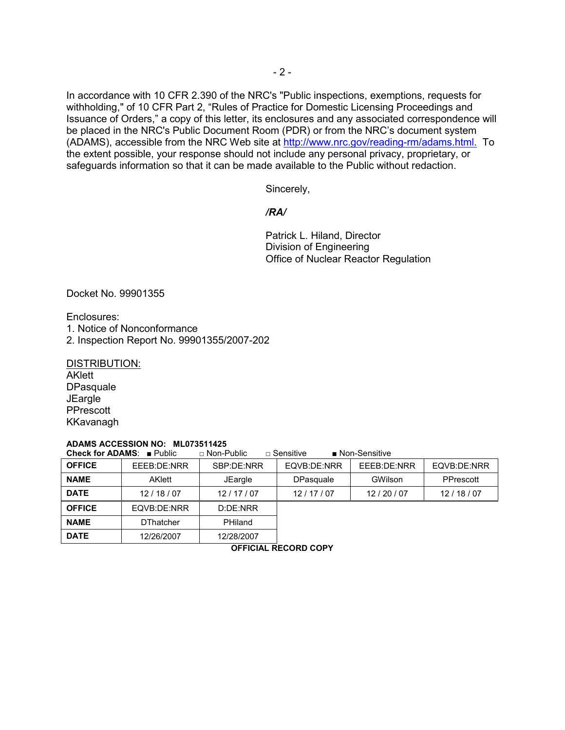In accordance with 10 CFR 2.390 of the NRC's "Public inspections, exemptions, requests for withholding," of 10 CFR Part 2, "Rules of Practice for Domestic Licensing Proceedings and Issuance of Orders," a copy of this letter, its enclosures and any associated correspondence will be placed in the NRC's Public Document Room (PDR) or from the NRC's document system (ADAMS), accessible from the NRC Web site at http://www.nrc.gov/reading-rm/adams.html. To the extent possible, your response should not include any personal privacy, proprietary, or safeguards information so that it can be made available to the Public without redaction.

Sincerely,

# */RA/*

Patrick L. Hiland, Director Division of Engineering Office of Nuclear Reactor Regulation

Docket No. 99901355

Enclosures:

- 1. Notice of Nonconformance
- 2. Inspection Report No. 99901355/2007-202

DISTRIBUTION:

AKlett **DPasquale JEargle** PPrescott KKavanagh

#### **ADAMS ACCESSION NO: ML073511425**

**Check for ADAMS**: ■ Public □ Non-Public □ Sensitive ■ Non-Sensitive

| <b>OFFICE</b> | EEEB:DE:NRR      | SBP:DE:NRR | EQVB:DE:NRR      | EEEB:DE:NRR | EQVB:DE:NRR |
|---------------|------------------|------------|------------------|-------------|-------------|
| <b>NAME</b>   | AKlett           | JEargle    | <b>DPasquale</b> | GWilson     | PPrescott   |
| <b>DATE</b>   | 12/18/07         | 12/17/07   | 12/17/07         | 12/20/07    | 12/18/07    |
| <b>OFFICE</b> | EQVB:DE:NRR      | D:DE:NRR   |                  |             |             |
| <b>NAME</b>   | <b>DThatcher</b> | PHiland    |                  |             |             |
| <b>DATE</b>   | 12/26/2007       | 12/28/2007 |                  |             |             |

**OFFICIAL RECORD COPY**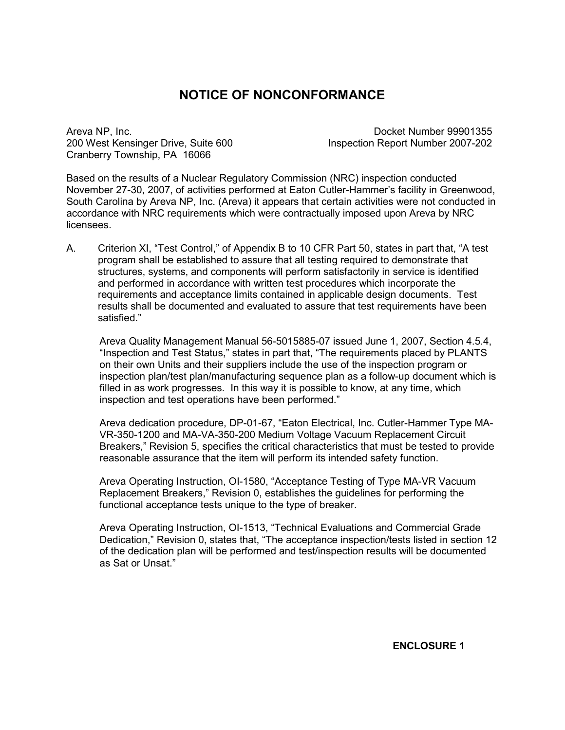# **NOTICE OF NONCONFORMANCE**

Areva NP, Inc. Docket Number 99901355 200 West Kensinger Drive, Suite 600 Inspection Report Number 2007-202 Cranberry Township, PA 16066

Based on the results of a Nuclear Regulatory Commission (NRC) inspection conducted November 27-30, 2007, of activities performed at Eaton Cutler-Hammer's facility in Greenwood, South Carolina by Areva NP, Inc. (Areva) it appears that certain activities were not conducted in accordance with NRC requirements which were contractually imposed upon Areva by NRC **licensees** 

A. Criterion XI, "Test Control," of Appendix B to 10 CFR Part 50, states in part that, "A test program shall be established to assure that all testing required to demonstrate that structures, systems, and components will perform satisfactorily in service is identified and performed in accordance with written test procedures which incorporate the requirements and acceptance limits contained in applicable design documents. Test results shall be documented and evaluated to assure that test requirements have been satisfied."

Areva Quality Management Manual 56-5015885-07 issued June 1, 2007, Section 4.5.4, "Inspection and Test Status," states in part that, "The requirements placed by PLANTS on their own Units and their suppliers include the use of the inspection program or inspection plan/test plan/manufacturing sequence plan as a follow-up document which is filled in as work progresses. In this way it is possible to know, at any time, which inspection and test operations have been performed."

Areva dedication procedure, DP-01-67, "Eaton Electrical, Inc. Cutler-Hammer Type MA-VR-350-1200 and MA-VA-350-200 Medium Voltage Vacuum Replacement Circuit Breakers," Revision 5, specifies the critical characteristics that must be tested to provide reasonable assurance that the item will perform its intended safety function.

Areva Operating Instruction, OI-1580, "Acceptance Testing of Type MA-VR Vacuum Replacement Breakers," Revision 0, establishes the guidelines for performing the functional acceptance tests unique to the type of breaker.

Areva Operating Instruction, OI-1513, "Technical Evaluations and Commercial Grade Dedication," Revision 0, states that, "The acceptance inspection/tests listed in section 12 of the dedication plan will be performed and test/inspection results will be documented as Sat or Unsat."

**ENCLOSURE 1**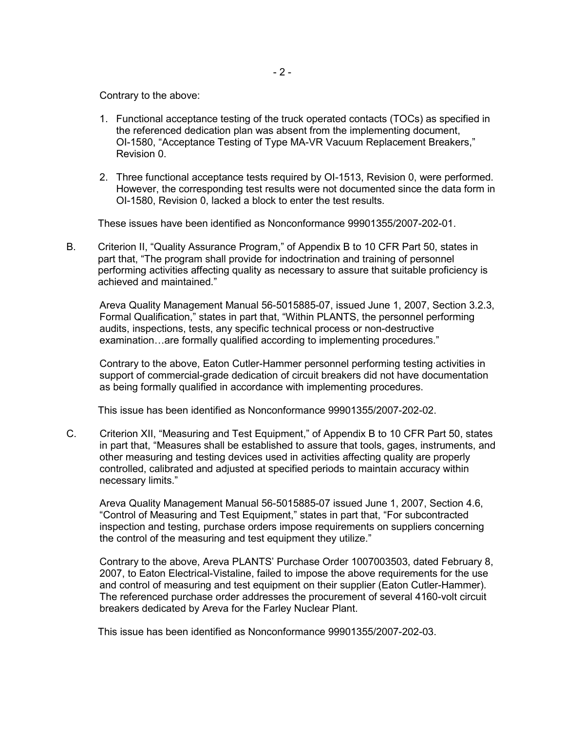Contrary to the above:

- 1. Functional acceptance testing of the truck operated contacts (TOCs) as specified in the referenced dedication plan was absent from the implementing document, OI-1580, "Acceptance Testing of Type MA-VR Vacuum Replacement Breakers," Revision 0.
- 2. Three functional acceptance tests required by OI-1513, Revision 0, were performed. However, the corresponding test results were not documented since the data form in OI-1580, Revision 0, lacked a block to enter the test results.

These issues have been identified as Nonconformance 99901355/2007-202-01.

B. Criterion II, "Quality Assurance Program," of Appendix B to 10 CFR Part 50, states in part that, "The program shall provide for indoctrination and training of personnel performing activities affecting quality as necessary to assure that suitable proficiency is achieved and maintained."

Areva Quality Management Manual 56-5015885-07, issued June 1, 2007, Section 3.2.3, Formal Qualification," states in part that, "Within PLANTS, the personnel performing audits, inspections, tests, any specific technical process or non-destructive examination…are formally qualified according to implementing procedures."

Contrary to the above, Eaton Cutler-Hammer personnel performing testing activities in support of commercial-grade dedication of circuit breakers did not have documentation as being formally qualified in accordance with implementing procedures.

This issue has been identified as Nonconformance 99901355/2007-202-02.

C. Criterion XII, "Measuring and Test Equipment," of Appendix B to 10 CFR Part 50, states in part that, "Measures shall be established to assure that tools, gages, instruments, and other measuring and testing devices used in activities affecting quality are properly controlled, calibrated and adjusted at specified periods to maintain accuracy within necessary limits."

Areva Quality Management Manual 56-5015885-07 issued June 1, 2007, Section 4.6, "Control of Measuring and Test Equipment," states in part that, "For subcontracted inspection and testing, purchase orders impose requirements on suppliers concerning the control of the measuring and test equipment they utilize."

Contrary to the above, Areva PLANTS' Purchase Order 1007003503, dated February 8, 2007, to Eaton Electrical-Vistaline, failed to impose the above requirements for the use and control of measuring and test equipment on their supplier (Eaton Cutler-Hammer). The referenced purchase order addresses the procurement of several 4160-volt circuit breakers dedicated by Areva for the Farley Nuclear Plant.

This issue has been identified as Nonconformance 99901355/2007-202-03.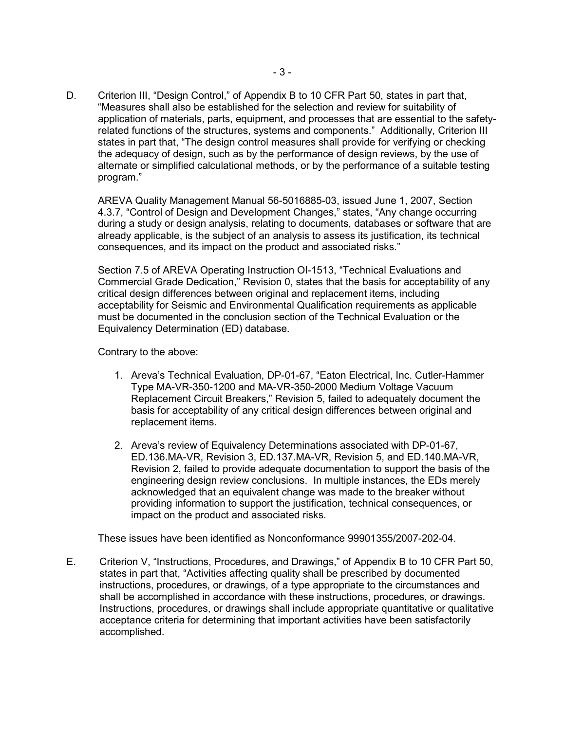D. Criterion III, "Design Control," of Appendix B to 10 CFR Part 50, states in part that, "Measures shall also be established for the selection and review for suitability of application of materials, parts, equipment, and processes that are essential to the safetyrelated functions of the structures, systems and components." Additionally, Criterion III states in part that, "The design control measures shall provide for verifying or checking the adequacy of design, such as by the performance of design reviews, by the use of alternate or simplified calculational methods, or by the performance of a suitable testing program."

AREVA Quality Management Manual 56-5016885-03, issued June 1, 2007, Section 4.3.7, "Control of Design and Development Changes," states, "Any change occurring during a study or design analysis, relating to documents, databases or software that are already applicable, is the subject of an analysis to assess its justification, its technical consequences, and its impact on the product and associated risks."

Section 7.5 of AREVA Operating Instruction OI-1513, "Technical Evaluations and Commercial Grade Dedication," Revision 0, states that the basis for acceptability of any critical design differences between original and replacement items, including acceptability for Seismic and Environmental Qualification requirements as applicable must be documented in the conclusion section of the Technical Evaluation or the Equivalency Determination (ED) database.

Contrary to the above:

- 1. Areva's Technical Evaluation, DP-01-67, "Eaton Electrical, Inc. Cutler-Hammer Type MA-VR-350-1200 and MA-VR-350-2000 Medium Voltage Vacuum Replacement Circuit Breakers," Revision 5, failed to adequately document the basis for acceptability of any critical design differences between original and replacement items.
- 2. Areva's review of Equivalency Determinations associated with DP-01-67, ED.136.MA-VR, Revision 3, ED.137.MA-VR, Revision 5, and ED.140.MA-VR, Revision 2, failed to provide adequate documentation to support the basis of the engineering design review conclusions. In multiple instances, the EDs merely acknowledged that an equivalent change was made to the breaker without providing information to support the justification, technical consequences, or impact on the product and associated risks.

These issues have been identified as Nonconformance 99901355/2007-202-04.

E. Criterion V, "Instructions, Procedures, and Drawings," of Appendix B to 10 CFR Part 50, states in part that, "Activities affecting quality shall be prescribed by documented instructions, procedures, or drawings, of a type appropriate to the circumstances and shall be accomplished in accordance with these instructions, procedures, or drawings. Instructions, procedures, or drawings shall include appropriate quantitative or qualitative acceptance criteria for determining that important activities have been satisfactorily accomplished.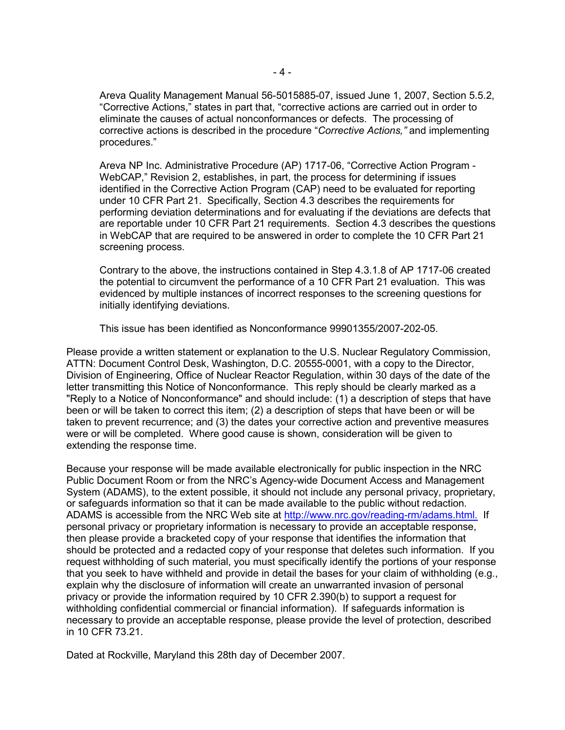Areva Quality Management Manual 56-5015885-07, issued June 1, 2007, Section 5.5.2, "Corrective Actions," states in part that, "corrective actions are carried out in order to eliminate the causes of actual nonconformances or defects. The processing of corrective actions is described in the procedure "*Corrective Actions,"* and implementing procedures."

Areva NP Inc. Administrative Procedure (AP) 1717-06, "Corrective Action Program - WebCAP," Revision 2, establishes, in part, the process for determining if issues identified in the Corrective Action Program (CAP) need to be evaluated for reporting under 10 CFR Part 21. Specifically, Section 4.3 describes the requirements for performing deviation determinations and for evaluating if the deviations are defects that are reportable under 10 CFR Part 21 requirements. Section 4.3 describes the questions in WebCAP that are required to be answered in order to complete the 10 CFR Part 21 screening process.

Contrary to the above, the instructions contained in Step 4.3.1.8 of AP 1717-06 created the potential to circumvent the performance of a 10 CFR Part 21 evaluation. This was evidenced by multiple instances of incorrect responses to the screening questions for initially identifying deviations.

This issue has been identified as Nonconformance 99901355/2007-202-05.

Please provide a written statement or explanation to the U.S. Nuclear Regulatory Commission, ATTN: Document Control Desk, Washington, D.C. 20555-0001, with a copy to the Director, Division of Engineering, Office of Nuclear Reactor Regulation, within 30 days of the date of the letter transmitting this Notice of Nonconformance. This reply should be clearly marked as a "Reply to a Notice of Nonconformance" and should include: (1) a description of steps that have been or will be taken to correct this item; (2) a description of steps that have been or will be taken to prevent recurrence; and (3) the dates your corrective action and preventive measures were or will be completed. Where good cause is shown, consideration will be given to extending the response time.

Because your response will be made available electronically for public inspection in the NRC Public Document Room or from the NRC's Agency-wide Document Access and Management System (ADAMS), to the extent possible, it should not include any personal privacy, proprietary, or safeguards information so that it can be made available to the public without redaction. ADAMS is accessible from the NRC Web site at http://www.nrc.gov/reading-rm/adams.html. If personal privacy or proprietary information is necessary to provide an acceptable response, then please provide a bracketed copy of your response that identifies the information that should be protected and a redacted copy of your response that deletes such information. If you request withholding of such material, you must specifically identify the portions of your response that you seek to have withheld and provide in detail the bases for your claim of withholding (e.g., explain why the disclosure of information will create an unwarranted invasion of personal privacy or provide the information required by 10 CFR 2.390(b) to support a request for withholding confidential commercial or financial information). If safeguards information is necessary to provide an acceptable response, please provide the level of protection, described in 10 CFR 73.21.

Dated at Rockville, Maryland this 28th day of December 2007.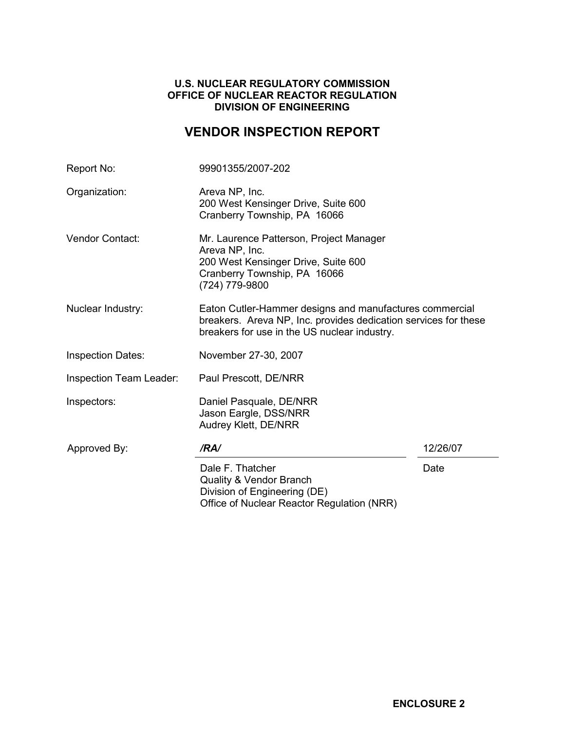# **U.S. NUCLEAR REGULATORY COMMISSION OFFICE OF NUCLEAR REACTOR REGULATION DIVISION OF ENGINEERING**

# **VENDOR INSPECTION REPORT**

| Report No:               | 99901355/2007-202                                                                                                                                                          |          |  |
|--------------------------|----------------------------------------------------------------------------------------------------------------------------------------------------------------------------|----------|--|
| Organization:            | Areva NP, Inc.<br>200 West Kensinger Drive, Suite 600<br>Cranberry Township, PA 16066                                                                                      |          |  |
| Vendor Contact:          | Mr. Laurence Patterson, Project Manager<br>Areva NP, Inc.<br>200 West Kensinger Drive, Suite 600<br>Cranberry Township, PA 16066<br>(724) 779-9800                         |          |  |
| Nuclear Industry:        | Eaton Cutler-Hammer designs and manufactures commercial<br>breakers. Areva NP, Inc. provides dedication services for these<br>breakers for use in the US nuclear industry. |          |  |
| <b>Inspection Dates:</b> | November 27-30, 2007                                                                                                                                                       |          |  |
| Inspection Team Leader:  | Paul Prescott, DE/NRR                                                                                                                                                      |          |  |
| Inspectors:              | Daniel Pasquale, DE/NRR<br>Jason Eargle, DSS/NRR<br>Audrey Klett, DE/NRR                                                                                                   |          |  |
| Approved By:             | /RA/                                                                                                                                                                       | 12/26/07 |  |
|                          | Dale F. Thatcher<br><b>Quality &amp; Vendor Branch</b><br>Division of Engineering (DE)<br>Office of Nuclear Reactor Regulation (NRR)                                       | Date     |  |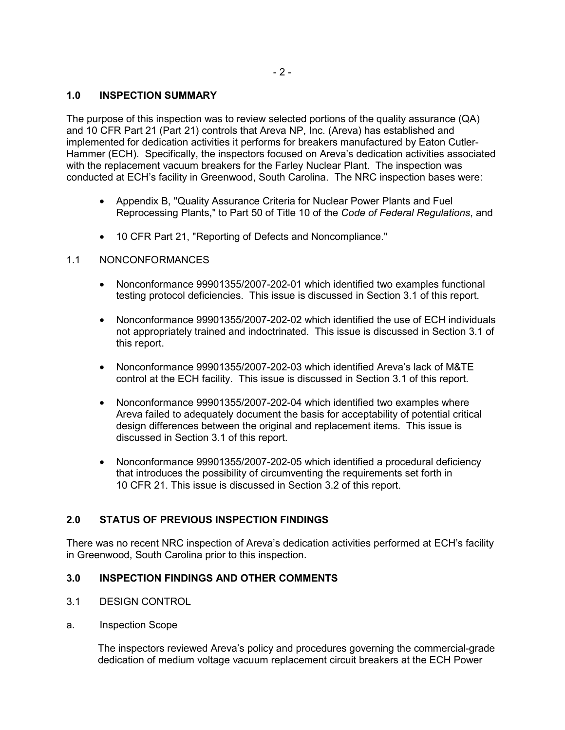# **1.0 INSPECTION SUMMARY**

The purpose of this inspection was to review selected portions of the quality assurance (QA) and 10 CFR Part 21 (Part 21) controls that Areva NP, Inc. (Areva) has established and implemented for dedication activities it performs for breakers manufactured by Eaton Cutler-Hammer (ECH). Specifically, the inspectors focused on Areva's dedication activities associated with the replacement vacuum breakers for the Farley Nuclear Plant. The inspection was conducted at ECH's facility in Greenwood, South Carolina. The NRC inspection bases were:

- Appendix B, "Quality Assurance Criteria for Nuclear Power Plants and Fuel Reprocessing Plants," to Part 50 of Title 10 of the *Code of Federal Regulations*, and
- 10 CFR Part 21, "Reporting of Defects and Noncompliance."

## 1.1 NONCONFORMANCES

- Nonconformance 99901355/2007-202-01 which identified two examples functional testing protocol deficiencies. This issue is discussed in Section 3.1 of this report.
- Nonconformance 99901355/2007-202-02 which identified the use of ECH individuals not appropriately trained and indoctrinated. This issue is discussed in Section 3.1 of this report.
- Nonconformance 99901355/2007-202-03 which identified Areva's lack of M&TE control at the ECH facility. This issue is discussed in Section 3.1 of this report.
- Nonconformance 99901355/2007-202-04 which identified two examples where Areva failed to adequately document the basis for acceptability of potential critical design differences between the original and replacement items. This issue is discussed in Section 3.1 of this report.
- Nonconformance 99901355/2007-202-05 which identified a procedural deficiency that introduces the possibility of circumventing the requirements set forth in 10 CFR 21. This issue is discussed in Section 3.2 of this report.

# **2.0 STATUS OF PREVIOUS INSPECTION FINDINGS**

There was no recent NRC inspection of Areva's dedication activities performed at ECH's facility in Greenwood, South Carolina prior to this inspection.

# **3.0 INSPECTION FINDINGS AND OTHER COMMENTS**

- 3.1 DESIGN CONTROL
- a. Inspection Scope

The inspectors reviewed Areva's policy and procedures governing the commercial-grade dedication of medium voltage vacuum replacement circuit breakers at the ECH Power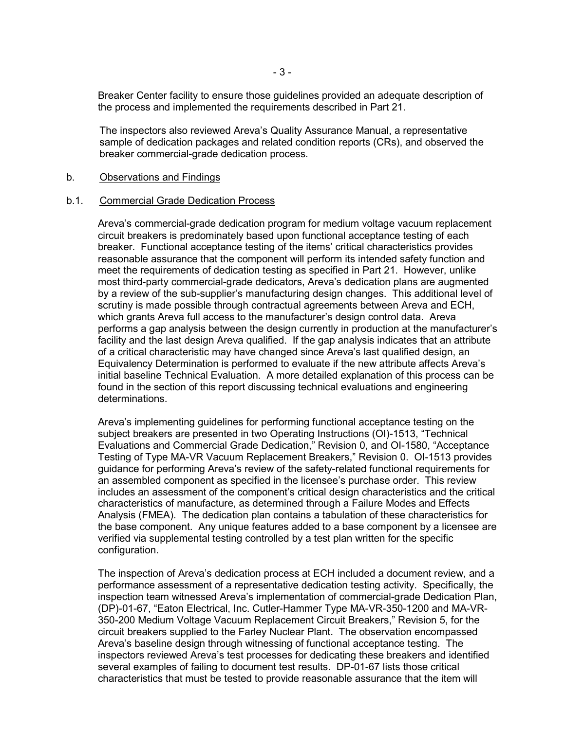Breaker Center facility to ensure those guidelines provided an adequate description of the process and implemented the requirements described in Part 21.

The inspectors also reviewed Areva's Quality Assurance Manual, a representative sample of dedication packages and related condition reports (CRs), and observed the breaker commercial-grade dedication process.

### b. Observations and Findings

#### b.1. Commercial Grade Dedication Process

Areva's commercial-grade dedication program for medium voltage vacuum replacement circuit breakers is predominately based upon functional acceptance testing of each breaker. Functional acceptance testing of the items' critical characteristics provides reasonable assurance that the component will perform its intended safety function and meet the requirements of dedication testing as specified in Part 21. However, unlike most third-party commercial-grade dedicators, Areva's dedication plans are augmented by a review of the sub-supplier's manufacturing design changes. This additional level of scrutiny is made possible through contractual agreements between Areva and ECH, which grants Areva full access to the manufacturer's design control data. Areva performs a gap analysis between the design currently in production at the manufacturer's facility and the last design Areva qualified. If the gap analysis indicates that an attribute of a critical characteristic may have changed since Areva's last qualified design, an Equivalency Determination is performed to evaluate if the new attribute affects Areva's initial baseline Technical Evaluation. A more detailed explanation of this process can be found in the section of this report discussing technical evaluations and engineering determinations.

Areva's implementing guidelines for performing functional acceptance testing on the subject breakers are presented in two Operating Instructions (OI)-1513, "Technical Evaluations and Commercial Grade Dedication," Revision 0, and OI-1580, "Acceptance Testing of Type MA-VR Vacuum Replacement Breakers," Revision 0. OI-1513 provides guidance for performing Areva's review of the safety-related functional requirements for an assembled component as specified in the licensee's purchase order. This review includes an assessment of the component's critical design characteristics and the critical characteristics of manufacture, as determined through a Failure Modes and Effects Analysis (FMEA). The dedication plan contains a tabulation of these characteristics for the base component. Any unique features added to a base component by a licensee are verified via supplemental testing controlled by a test plan written for the specific configuration.

The inspection of Areva's dedication process at ECH included a document review, and a performance assessment of a representative dedication testing activity. Specifically, the inspection team witnessed Areva's implementation of commercial-grade Dedication Plan, (DP)-01-67, "Eaton Electrical, Inc. Cutler-Hammer Type MA-VR-350-1200 and MA-VR-350-200 Medium Voltage Vacuum Replacement Circuit Breakers," Revision 5, for the circuit breakers supplied to the Farley Nuclear Plant. The observation encompassed Areva's baseline design through witnessing of functional acceptance testing. The inspectors reviewed Areva's test processes for dedicating these breakers and identified several examples of failing to document test results. DP-01-67 lists those critical characteristics that must be tested to provide reasonable assurance that the item will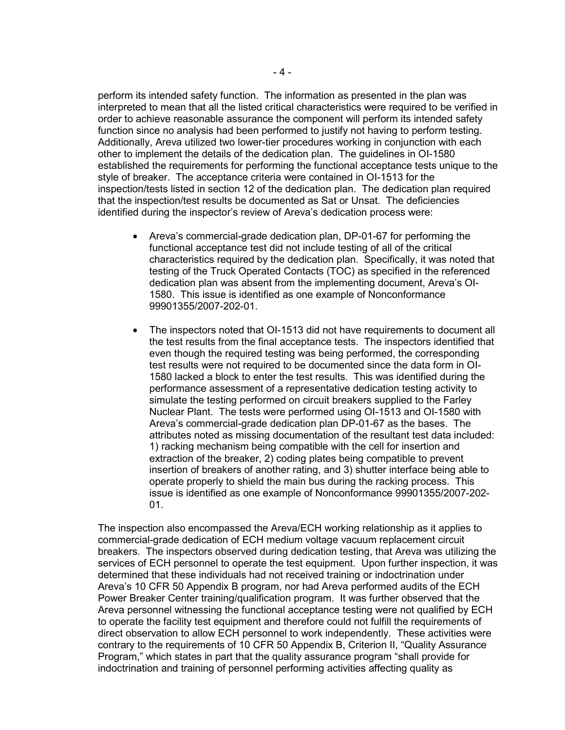perform its intended safety function. The information as presented in the plan was interpreted to mean that all the listed critical characteristics were required to be verified in order to achieve reasonable assurance the component will perform its intended safety function since no analysis had been performed to justify not having to perform testing. Additionally, Areva utilized two lower-tier procedures working in conjunction with each other to implement the details of the dedication plan. The guidelines in OI-1580 established the requirements for performing the functional acceptance tests unique to the style of breaker. The acceptance criteria were contained in OI-1513 for the inspection/tests listed in section 12 of the dedication plan. The dedication plan required that the inspection/test results be documented as Sat or Unsat. The deficiencies identified during the inspector's review of Areva's dedication process were:

- Areva's commercial-grade dedication plan, DP-01-67 for performing the functional acceptance test did not include testing of all of the critical characteristics required by the dedication plan. Specifically, it was noted that testing of the Truck Operated Contacts (TOC) as specified in the referenced dedication plan was absent from the implementing document, Areva's OI-1580. This issue is identified as one example of Nonconformance 99901355/2007-202-01.
- The inspectors noted that OI-1513 did not have requirements to document all the test results from the final acceptance tests. The inspectors identified that even though the required testing was being performed, the corresponding test results were not required to be documented since the data form in OI-1580 lacked a block to enter the test results. This was identified during the performance assessment of a representative dedication testing activity to simulate the testing performed on circuit breakers supplied to the Farley Nuclear Plant. The tests were performed using OI-1513 and OI-1580 with Areva's commercial-grade dedication plan DP-01-67 as the bases. The attributes noted as missing documentation of the resultant test data included: 1) racking mechanism being compatible with the cell for insertion and extraction of the breaker, 2) coding plates being compatible to prevent insertion of breakers of another rating, and 3) shutter interface being able to operate properly to shield the main bus during the racking process. This issue is identified as one example of Nonconformance 99901355/2007-202- 01.

The inspection also encompassed the Areva/ECH working relationship as it applies to commercial-grade dedication of ECH medium voltage vacuum replacement circuit breakers. The inspectors observed during dedication testing, that Areva was utilizing the services of ECH personnel to operate the test equipment. Upon further inspection, it was determined that these individuals had not received training or indoctrination under Areva's 10 CFR 50 Appendix B program, nor had Areva performed audits of the ECH Power Breaker Center training/qualification program. It was further observed that the Areva personnel witnessing the functional acceptance testing were not qualified by ECH to operate the facility test equipment and therefore could not fulfill the requirements of direct observation to allow ECH personnel to work independently. These activities were contrary to the requirements of 10 CFR 50 Appendix B, Criterion II, "Quality Assurance Program," which states in part that the quality assurance program "shall provide for indoctrination and training of personnel performing activities affecting quality as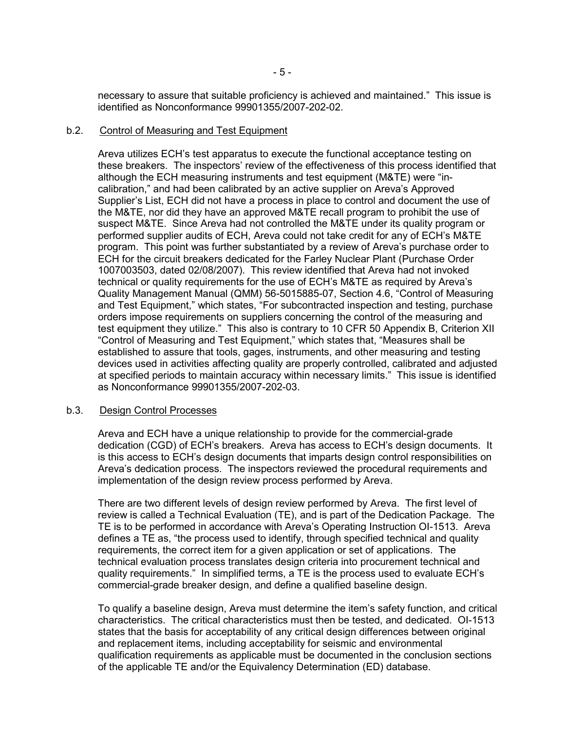necessary to assure that suitable proficiency is achieved and maintained." This issue is identified as Nonconformance 99901355/2007-202-02.

## b.2. Control of Measuring and Test Equipment

Areva utilizes ECH's test apparatus to execute the functional acceptance testing on these breakers. The inspectors' review of the effectiveness of this process identified that although the ECH measuring instruments and test equipment (M&TE) were "incalibration," and had been calibrated by an active supplier on Areva's Approved Supplier's List, ECH did not have a process in place to control and document the use of the M&TE, nor did they have an approved M&TE recall program to prohibit the use of suspect M&TE. Since Areva had not controlled the M&TE under its quality program or performed supplier audits of ECH, Areva could not take credit for any of ECH's M&TE program. This point was further substantiated by a review of Areva's purchase order to ECH for the circuit breakers dedicated for the Farley Nuclear Plant (Purchase Order 1007003503, dated 02/08/2007). This review identified that Areva had not invoked technical or quality requirements for the use of ECH's M&TE as required by Areva's Quality Management Manual (QMM) 56-5015885-07, Section 4.6, "Control of Measuring and Test Equipment," which states, "For subcontracted inspection and testing, purchase orders impose requirements on suppliers concerning the control of the measuring and test equipment they utilize." This also is contrary to 10 CFR 50 Appendix B, Criterion XII "Control of Measuring and Test Equipment," which states that, "Measures shall be established to assure that tools, gages, instruments, and other measuring and testing devices used in activities affecting quality are properly controlled, calibrated and adjusted at specified periods to maintain accuracy within necessary limits." This issue is identified as Nonconformance 99901355/2007-202-03.

## b.3. Design Control Processes

Areva and ECH have a unique relationship to provide for the commercial-grade dedication (CGD) of ECH's breakers. Areva has access to ECH's design documents. It is this access to ECH's design documents that imparts design control responsibilities on Areva's dedication process. The inspectors reviewed the procedural requirements and implementation of the design review process performed by Areva.

There are two different levels of design review performed by Areva. The first level of review is called a Technical Evaluation (TE), and is part of the Dedication Package. The TE is to be performed in accordance with Areva's Operating Instruction OI-1513. Areva defines a TE as, "the process used to identify, through specified technical and quality requirements, the correct item for a given application or set of applications. The technical evaluation process translates design criteria into procurement technical and quality requirements." In simplified terms, a TE is the process used to evaluate ECH's commercial-grade breaker design, and define a qualified baseline design.

To qualify a baseline design, Areva must determine the item's safety function, and critical characteristics. The critical characteristics must then be tested, and dedicated. OI-1513 states that the basis for acceptability of any critical design differences between original and replacement items, including acceptability for seismic and environmental qualification requirements as applicable must be documented in the conclusion sections of the applicable TE and/or the Equivalency Determination (ED) database.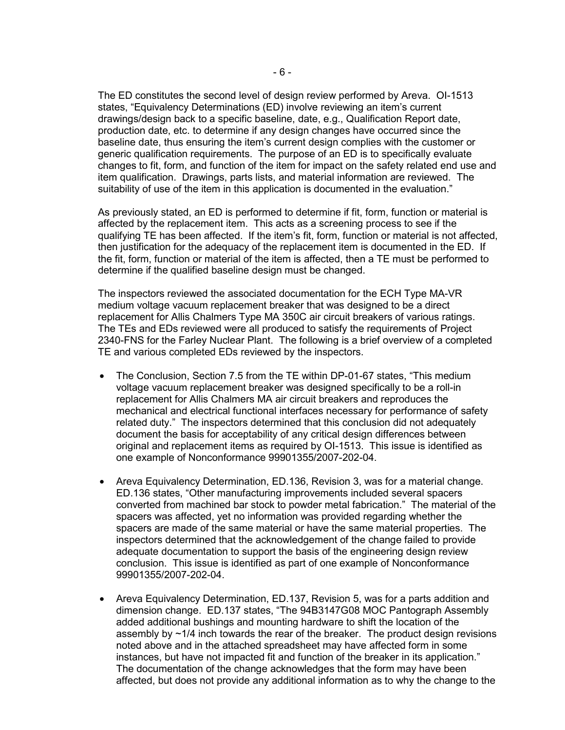The ED constitutes the second level of design review performed by Areva. OI-1513 states, "Equivalency Determinations (ED) involve reviewing an item's current drawings/design back to a specific baseline, date, e.g., Qualification Report date, production date, etc. to determine if any design changes have occurred since the baseline date, thus ensuring the item's current design complies with the customer or generic qualification requirements. The purpose of an ED is to specifically evaluate changes to fit, form, and function of the item for impact on the safety related end use and item qualification. Drawings, parts lists, and material information are reviewed. The suitability of use of the item in this application is documented in the evaluation."

As previously stated, an ED is performed to determine if fit, form, function or material is affected by the replacement item. This acts as a screening process to see if the qualifying TE has been affected. If the item's fit, form, function or material is not affected, then justification for the adequacy of the replacement item is documented in the ED. If the fit, form, function or material of the item is affected, then a TE must be performed to determine if the qualified baseline design must be changed.

The inspectors reviewed the associated documentation for the ECH Type MA-VR medium voltage vacuum replacement breaker that was designed to be a direct replacement for Allis Chalmers Type MA 350C air circuit breakers of various ratings. The TEs and EDs reviewed were all produced to satisfy the requirements of Project 2340-FNS for the Farley Nuclear Plant. The following is a brief overview of a completed TE and various completed EDs reviewed by the inspectors.

- The Conclusion, Section 7.5 from the TE within DP-01-67 states, "This medium voltage vacuum replacement breaker was designed specifically to be a roll-in replacement for Allis Chalmers MA air circuit breakers and reproduces the mechanical and electrical functional interfaces necessary for performance of safety related duty." The inspectors determined that this conclusion did not adequately document the basis for acceptability of any critical design differences between original and replacement items as required by OI-1513. This issue is identified as one example of Nonconformance 99901355/2007-202-04.
- Areva Equivalency Determination, ED.136, Revision 3, was for a material change. ED.136 states, "Other manufacturing improvements included several spacers converted from machined bar stock to powder metal fabrication." The material of the spacers was affected, yet no information was provided regarding whether the spacers are made of the same material or have the same material properties. The inspectors determined that the acknowledgement of the change failed to provide adequate documentation to support the basis of the engineering design review conclusion. This issue is identified as part of one example of Nonconformance 99901355/2007-202-04.
- Areva Equivalency Determination, ED.137, Revision 5, was for a parts addition and dimension change. ED.137 states, "The 94B3147G08 MOC Pantograph Assembly added additional bushings and mounting hardware to shift the location of the assembly by  $\sim$ 1/4 inch towards the rear of the breaker. The product design revisions noted above and in the attached spreadsheet may have affected form in some instances, but have not impacted fit and function of the breaker in its application." The documentation of the change acknowledges that the form may have been affected, but does not provide any additional information as to why the change to the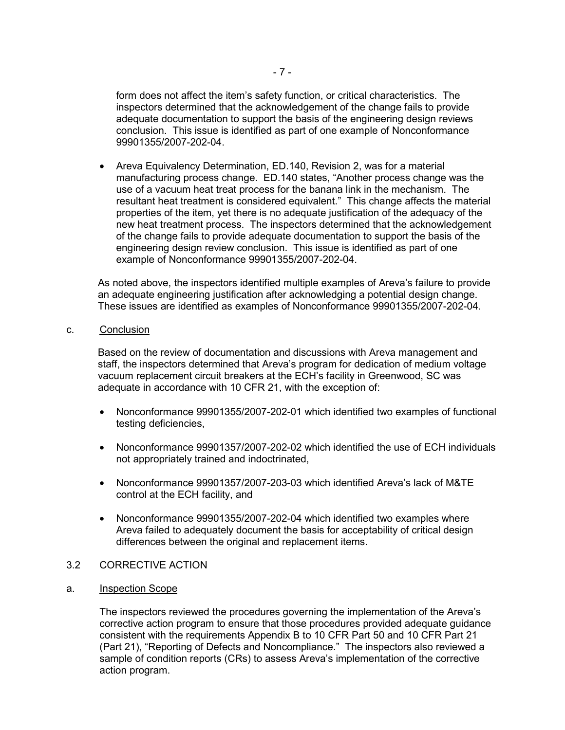form does not affect the item's safety function, or critical characteristics. The inspectors determined that the acknowledgement of the change fails to provide adequate documentation to support the basis of the engineering design reviews conclusion. This issue is identified as part of one example of Nonconformance 99901355/2007-202-04.

• Areva Equivalency Determination, ED.140, Revision 2, was for a material manufacturing process change. ED.140 states, "Another process change was the use of a vacuum heat treat process for the banana link in the mechanism. The resultant heat treatment is considered equivalent." This change affects the material properties of the item, yet there is no adequate justification of the adequacy of the new heat treatment process. The inspectors determined that the acknowledgement of the change fails to provide adequate documentation to support the basis of the engineering design review conclusion. This issue is identified as part of one example of Nonconformance 99901355/2007-202-04.

As noted above, the inspectors identified multiple examples of Areva's failure to provide an adequate engineering justification after acknowledging a potential design change. These issues are identified as examples of Nonconformance 99901355/2007-202-04.

c. Conclusion

Based on the review of documentation and discussions with Areva management and staff, the inspectors determined that Areva's program for dedication of medium voltage vacuum replacement circuit breakers at the ECH's facility in Greenwood, SC was adequate in accordance with 10 CFR 21, with the exception of:

- Nonconformance 99901355/2007-202-01 which identified two examples of functional testing deficiencies,
- Nonconformance 99901357/2007-202-02 which identified the use of ECH individuals not appropriately trained and indoctrinated,
- Nonconformance 99901357/2007-203-03 which identified Areva's lack of M&TE control at the ECH facility, and
- Nonconformance 99901355/2007-202-04 which identified two examples where Areva failed to adequately document the basis for acceptability of critical design differences between the original and replacement items.
- 3.2 CORRECTIVE ACTION
- a. Inspection Scope

The inspectors reviewed the procedures governing the implementation of the Areva's corrective action program to ensure that those procedures provided adequate guidance consistent with the requirements Appendix B to 10 CFR Part 50 and 10 CFR Part 21 (Part 21), "Reporting of Defects and Noncompliance." The inspectors also reviewed a sample of condition reports (CRs) to assess Areva's implementation of the corrective action program.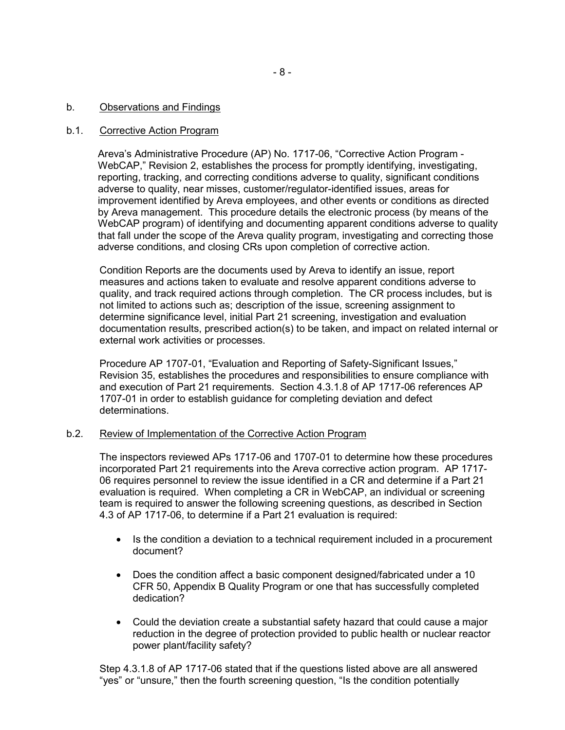## b. Observations and Findings

## b.1. Corrective Action Program

Areva's Administrative Procedure (AP) No. 1717-06, "Corrective Action Program - WebCAP," Revision 2, establishes the process for promptly identifying, investigating, reporting, tracking, and correcting conditions adverse to quality, significant conditions adverse to quality, near misses, customer/regulator-identified issues, areas for improvement identified by Areva employees, and other events or conditions as directed by Areva management. This procedure details the electronic process (by means of the WebCAP program) of identifying and documenting apparent conditions adverse to quality that fall under the scope of the Areva quality program, investigating and correcting those adverse conditions, and closing CRs upon completion of corrective action.

Condition Reports are the documents used by Areva to identify an issue, report measures and actions taken to evaluate and resolve apparent conditions adverse to quality, and track required actions through completion. The CR process includes, but is not limited to actions such as; description of the issue, screening assignment to determine significance level, initial Part 21 screening, investigation and evaluation documentation results, prescribed action(s) to be taken, and impact on related internal or external work activities or processes.

Procedure AP 1707-01, "Evaluation and Reporting of Safety-Significant Issues," Revision 35, establishes the procedures and responsibilities to ensure compliance with and execution of Part 21 requirements. Section 4.3.1.8 of AP 1717-06 references AP 1707-01 in order to establish guidance for completing deviation and defect determinations.

## b.2. Review of Implementation of the Corrective Action Program

The inspectors reviewed APs 1717-06 and 1707-01 to determine how these procedures incorporated Part 21 requirements into the Areva corrective action program. AP 1717- 06 requires personnel to review the issue identified in a CR and determine if a Part 21 evaluation is required. When completing a CR in WebCAP, an individual or screening team is required to answer the following screening questions, as described in Section 4.3 of AP 1717-06, to determine if a Part 21 evaluation is required:

- Is the condition a deviation to a technical requirement included in a procurement document?
- Does the condition affect a basic component designed/fabricated under a 10 CFR 50, Appendix B Quality Program or one that has successfully completed dedication?
- Could the deviation create a substantial safety hazard that could cause a major reduction in the degree of protection provided to public health or nuclear reactor power plant/facility safety?

Step 4.3.1.8 of AP 1717-06 stated that if the questions listed above are all answered "yes" or "unsure," then the fourth screening question, "Is the condition potentially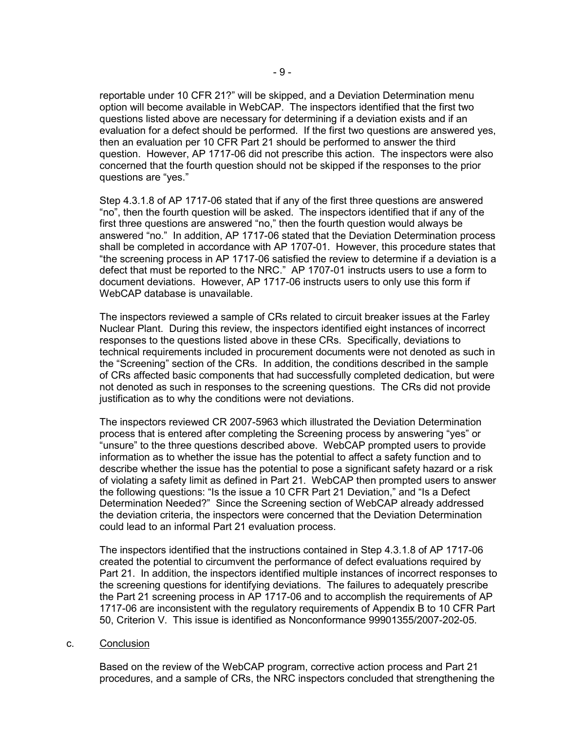reportable under 10 CFR 21?" will be skipped, and a Deviation Determination menu option will become available in WebCAP. The inspectors identified that the first two questions listed above are necessary for determining if a deviation exists and if an evaluation for a defect should be performed. If the first two questions are answered yes, then an evaluation per 10 CFR Part 21 should be performed to answer the third question. However, AP 1717-06 did not prescribe this action. The inspectors were also concerned that the fourth question should not be skipped if the responses to the prior questions are "yes."

Step 4.3.1.8 of AP 1717-06 stated that if any of the first three questions are answered "no", then the fourth question will be asked. The inspectors identified that if any of the first three questions are answered "no," then the fourth question would always be answered "no." In addition, AP 1717-06 stated that the Deviation Determination process shall be completed in accordance with AP 1707-01. However, this procedure states that "the screening process in AP 1717-06 satisfied the review to determine if a deviation is a defect that must be reported to the NRC." AP 1707-01 instructs users to use a form to document deviations. However, AP 1717-06 instructs users to only use this form if WebCAP database is unavailable.

The inspectors reviewed a sample of CRs related to circuit breaker issues at the Farley Nuclear Plant. During this review, the inspectors identified eight instances of incorrect responses to the questions listed above in these CRs. Specifically, deviations to technical requirements included in procurement documents were not denoted as such in the "Screening" section of the CRs. In addition, the conditions described in the sample of CRs affected basic components that had successfully completed dedication, but were not denoted as such in responses to the screening questions. The CRs did not provide justification as to why the conditions were not deviations.

The inspectors reviewed CR 2007-5963 which illustrated the Deviation Determination process that is entered after completing the Screening process by answering "yes" or "unsure" to the three questions described above. WebCAP prompted users to provide information as to whether the issue has the potential to affect a safety function and to describe whether the issue has the potential to pose a significant safety hazard or a risk of violating a safety limit as defined in Part 21. WebCAP then prompted users to answer the following questions: "Is the issue a 10 CFR Part 21 Deviation," and "Is a Defect Determination Needed?" Since the Screening section of WebCAP already addressed the deviation criteria, the inspectors were concerned that the Deviation Determination could lead to an informal Part 21 evaluation process.

The inspectors identified that the instructions contained in Step 4.3.1.8 of AP 1717-06 created the potential to circumvent the performance of defect evaluations required by Part 21. In addition, the inspectors identified multiple instances of incorrect responses to the screening questions for identifying deviations. The failures to adequately prescribe the Part 21 screening process in AP 1717-06 and to accomplish the requirements of AP 1717-06 are inconsistent with the regulatory requirements of Appendix B to 10 CFR Part 50, Criterion V. This issue is identified as Nonconformance 99901355/2007-202-05.

## c. Conclusion

Based on the review of the WebCAP program, corrective action process and Part 21 procedures, and a sample of CRs, the NRC inspectors concluded that strengthening the